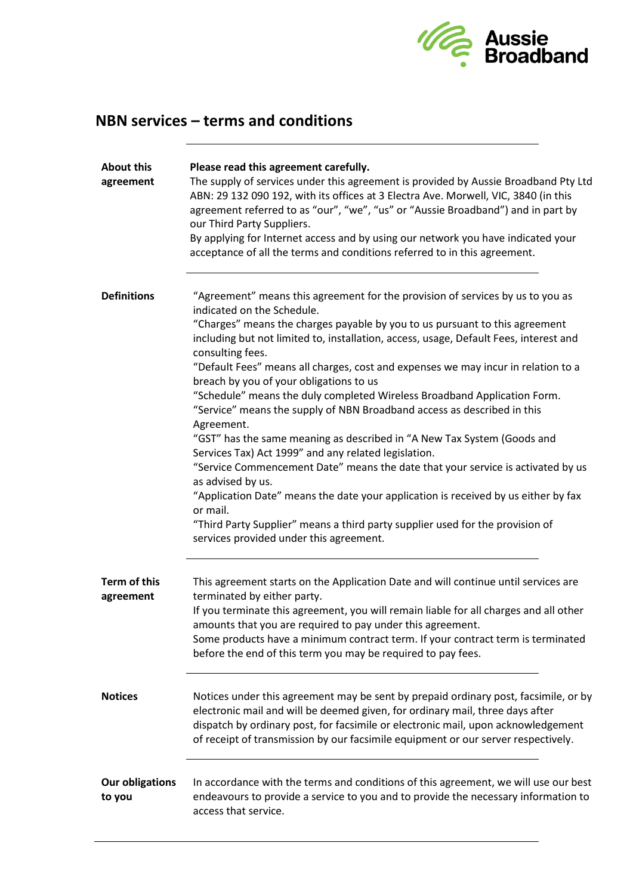

## **NBN services – terms and conditions**

| <b>About this</b><br>agreement   | Please read this agreement carefully.<br>The supply of services under this agreement is provided by Aussie Broadband Pty Ltd<br>ABN: 29 132 090 192, with its offices at 3 Electra Ave. Morwell, VIC, 3840 (in this<br>agreement referred to as "our", "we", "us" or "Aussie Broadband") and in part by<br>our Third Party Suppliers.<br>By applying for Internet access and by using our network you have indicated your<br>acceptance of all the terms and conditions referred to in this agreement.                                                                                                                                                                                                                                                                                                                                                                                                                                                                                                                                                                                 |
|----------------------------------|----------------------------------------------------------------------------------------------------------------------------------------------------------------------------------------------------------------------------------------------------------------------------------------------------------------------------------------------------------------------------------------------------------------------------------------------------------------------------------------------------------------------------------------------------------------------------------------------------------------------------------------------------------------------------------------------------------------------------------------------------------------------------------------------------------------------------------------------------------------------------------------------------------------------------------------------------------------------------------------------------------------------------------------------------------------------------------------|
| <b>Definitions</b>               | "Agreement" means this agreement for the provision of services by us to you as<br>indicated on the Schedule.<br>"Charges" means the charges payable by you to us pursuant to this agreement<br>including but not limited to, installation, access, usage, Default Fees, interest and<br>consulting fees.<br>"Default Fees" means all charges, cost and expenses we may incur in relation to a<br>breach by you of your obligations to us<br>"Schedule" means the duly completed Wireless Broadband Application Form.<br>"Service" means the supply of NBN Broadband access as described in this<br>Agreement.<br>"GST" has the same meaning as described in "A New Tax System (Goods and<br>Services Tax) Act 1999" and any related legislation.<br>"Service Commencement Date" means the date that your service is activated by us<br>as advised by us.<br>"Application Date" means the date your application is received by us either by fax<br>or mail.<br>"Third Party Supplier" means a third party supplier used for the provision of<br>services provided under this agreement. |
| <b>Term of this</b><br>agreement | This agreement starts on the Application Date and will continue until services are<br>terminated by either party.<br>If you terminate this agreement, you will remain liable for all charges and all other<br>amounts that you are required to pay under this agreement.<br>Some products have a minimum contract term. If your contract term is terminated<br>before the end of this term you may be required to pay fees.                                                                                                                                                                                                                                                                                                                                                                                                                                                                                                                                                                                                                                                            |
| <b>Notices</b>                   | Notices under this agreement may be sent by prepaid ordinary post, facsimile, or by<br>electronic mail and will be deemed given, for ordinary mail, three days after<br>dispatch by ordinary post, for facsimile or electronic mail, upon acknowledgement<br>of receipt of transmission by our facsimile equipment or our server respectively.                                                                                                                                                                                                                                                                                                                                                                                                                                                                                                                                                                                                                                                                                                                                         |
| <b>Our obligations</b><br>to you | In accordance with the terms and conditions of this agreement, we will use our best<br>endeavours to provide a service to you and to provide the necessary information to<br>access that service.                                                                                                                                                                                                                                                                                                                                                                                                                                                                                                                                                                                                                                                                                                                                                                                                                                                                                      |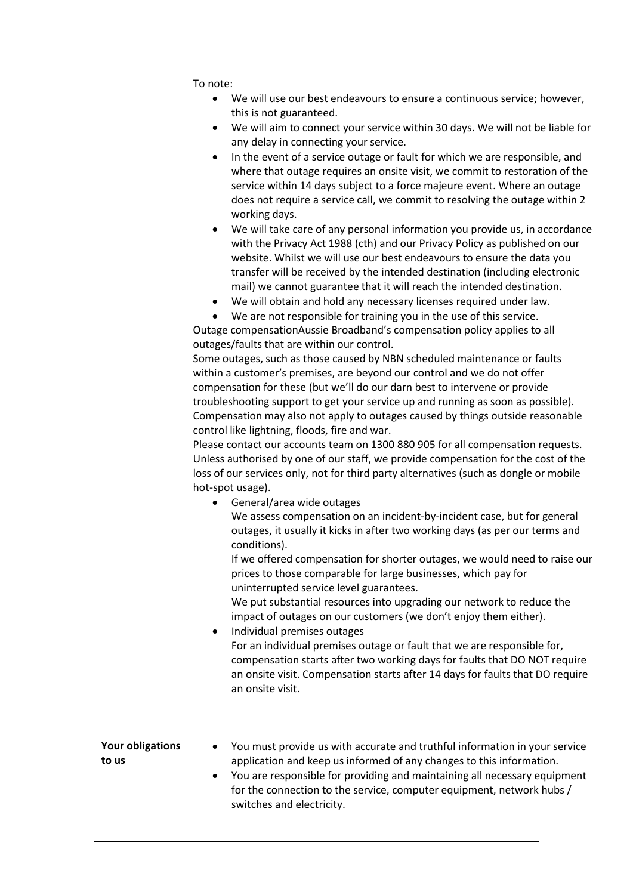To note:

- We will use our best endeavours to ensure a continuous service; however, this is not guaranteed.
- We will aim to connect your service within 30 days. We will not be liable for any delay in connecting your service.
- In the event of a service outage or fault for which we are responsible, and where that outage requires an onsite visit, we commit to restoration of the service within 14 days subject to a force majeure event. Where an outage does not require a service call, we commit to resolving the outage within 2 working days.
- We will take care of any personal information you provide us, in accordance with the Privacy Act 1988 (cth) and our Privacy Policy as published on our website. Whilst we will use our best endeavours to ensure the data you transfer will be received by the intended destination (including electronic mail) we cannot guarantee that it will reach the intended destination.
- We will obtain and hold any necessary licenses required under law.
- We are not responsible for training you in the use of this service.

Outage compensationAussie Broadband's compensation policy applies to all outages/faults that are within our control.

Some outages, such as those caused by NBN scheduled maintenance or faults within a customer's premises, are beyond our control and we do not offer compensation for these (but we'll do our darn best to intervene or provide troubleshooting support to get your service up and running as soon as possible). Compensation may also not apply to outages caused by things outside reasonable control like lightning, floods, fire and war.

Please contact our accounts team on 1300 880 905 for all compensation requests. Unless authorised by one of our staff, we provide compensation for the cost of the loss of our services only, not for third party alternatives (such as dongle or mobile hot-spot usage).

• General/area wide outages We assess compensation on an incident-by-incident case, but for general outages, it usually it kicks in after two working days (as per our terms and conditions).

If we offered compensation for shorter outages, we would need to raise our prices to those comparable for large businesses, which pay for uninterrupted service level guarantees.

We put substantial resources into upgrading our network to reduce the impact of outages on our customers (we don't enjoy them either).

• Individual premises outages For an individual premises outage or fault that we are responsible for, compensation starts after two working days for faults that DO NOT require an onsite visit. Compensation starts after 14 days for faults that DO require an onsite visit.

| Your obligations<br>to us | You must provide us with accurate and truthful information in your service<br>$\bullet$<br>application and keep us informed of any changes to this information. |
|---------------------------|-----------------------------------------------------------------------------------------------------------------------------------------------------------------|
|                           | You are responsible for providing and maintaining all necessary equipment<br>$\bullet$<br>for the connection to the service, computer equipment, network hubs / |
|                           | switches and electricity.                                                                                                                                       |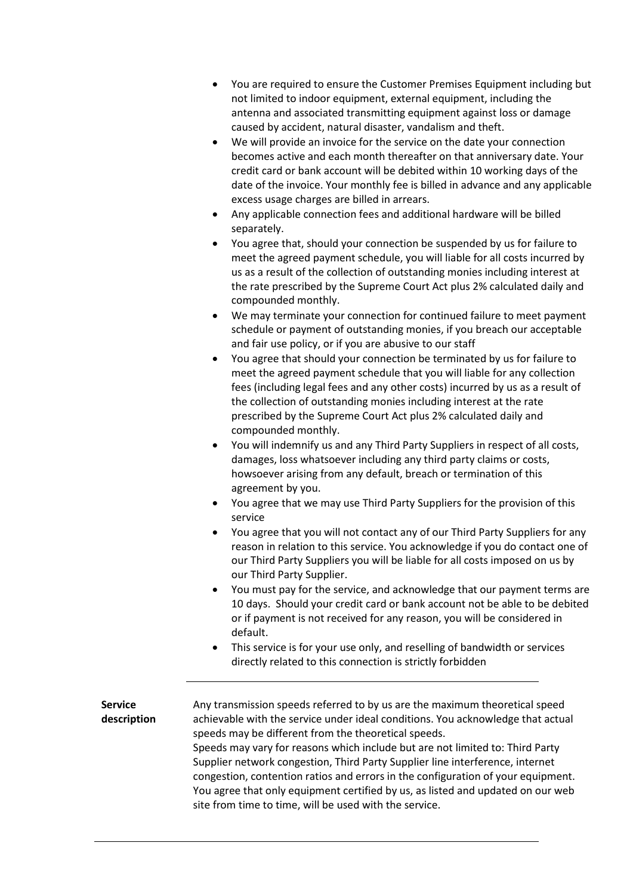- You are required to ensure the Customer Premises Equipment including but not limited to indoor equipment, external equipment, including the antenna and associated transmitting equipment against loss or damage caused by accident, natural disaster, vandalism and theft.
- We will provide an invoice for the service on the date your connection becomes active and each month thereafter on that anniversary date. Your credit card or bank account will be debited within 10 working days of the date of the invoice. Your monthly fee is billed in advance and any applicable excess usage charges are billed in arrears.
- Any applicable connection fees and additional hardware will be billed separately.
- You agree that, should your connection be suspended by us for failure to meet the agreed payment schedule, you will liable for all costs incurred by us as a result of the collection of outstanding monies including interest at the rate prescribed by the Supreme Court Act plus 2% calculated daily and compounded monthly.
- We may terminate your connection for continued failure to meet payment schedule or payment of outstanding monies, if you breach our acceptable and fair use policy, or if you are abusive to our staff
- You agree that should your connection be terminated by us for failure to meet the agreed payment schedule that you will liable for any collection fees (including legal fees and any other costs) incurred by us as a result of the collection of outstanding monies including interest at the rate prescribed by the Supreme Court Act plus 2% calculated daily and compounded monthly.
- You will indemnify us and any Third Party Suppliers in respect of all costs, damages, loss whatsoever including any third party claims or costs, howsoever arising from any default, breach or termination of this agreement by you.
- You agree that we may use Third Party Suppliers for the provision of this service
- You agree that you will not contact any of our Third Party Suppliers for any reason in relation to this service. You acknowledge if you do contact one of our Third Party Suppliers you will be liable for all costs imposed on us by our Third Party Supplier.
- You must pay for the service, and acknowledge that our payment terms are 10 days. Should your credit card or bank account not be able to be debited or if payment is not received for any reason, you will be considered in default.
- This service is for your use only, and reselling of bandwidth or services directly related to this connection is strictly forbidden

**Service description** Any transmission speeds referred to by us are the maximum theoretical speed achievable with the service under ideal conditions. You acknowledge that actual speeds may be different from the theoretical speeds. Speeds may vary for reasons which include but are not limited to: Third Party Supplier network congestion, Third Party Supplier line interference, internet congestion, contention ratios and errors in the configuration of your equipment. You agree that only equipment certified by us, as listed and updated on our web site from time to time, will be used with the service.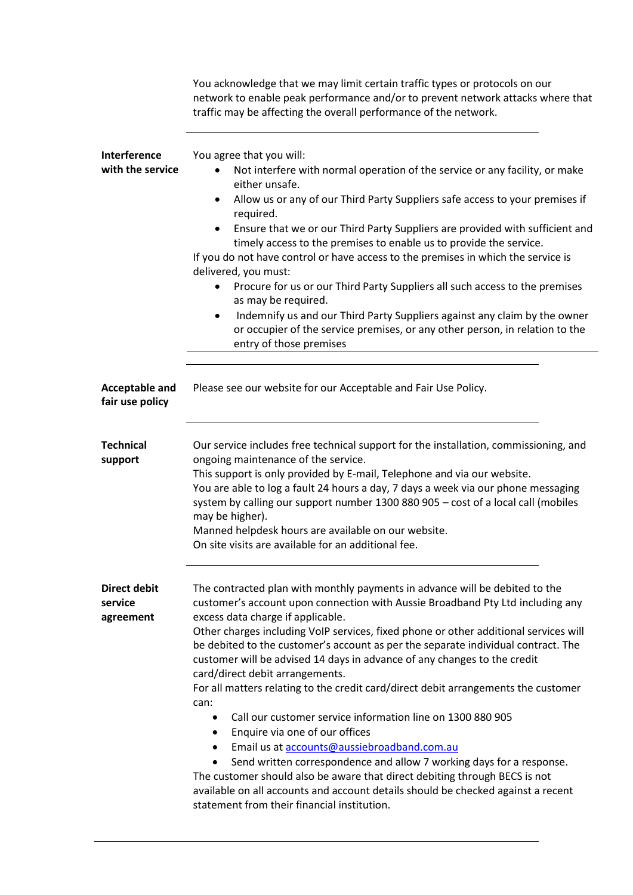|                                             | You acknowledge that we may limit certain traffic types or protocols on our<br>network to enable peak performance and/or to prevent network attacks where that<br>traffic may be affecting the overall performance of the network.                                                                                                                                                                                                                                                                                                                                                                                                                                                                                                                                                                                                                                                                                                                                                                                                                                                       |
|---------------------------------------------|------------------------------------------------------------------------------------------------------------------------------------------------------------------------------------------------------------------------------------------------------------------------------------------------------------------------------------------------------------------------------------------------------------------------------------------------------------------------------------------------------------------------------------------------------------------------------------------------------------------------------------------------------------------------------------------------------------------------------------------------------------------------------------------------------------------------------------------------------------------------------------------------------------------------------------------------------------------------------------------------------------------------------------------------------------------------------------------|
| Interference<br>with the service            | You agree that you will:<br>Not interfere with normal operation of the service or any facility, or make<br>either unsafe.<br>Allow us or any of our Third Party Suppliers safe access to your premises if<br>$\bullet$<br>required.<br>Ensure that we or our Third Party Suppliers are provided with sufficient and<br>٠<br>timely access to the premises to enable us to provide the service.<br>If you do not have control or have access to the premises in which the service is<br>delivered, you must:<br>Procure for us or our Third Party Suppliers all such access to the premises<br>$\bullet$<br>as may be required.<br>Indemnify us and our Third Party Suppliers against any claim by the owner<br>$\bullet$<br>or occupier of the service premises, or any other person, in relation to the<br>entry of those premises                                                                                                                                                                                                                                                      |
| <b>Acceptable and</b><br>fair use policy    | Please see our website for our Acceptable and Fair Use Policy.                                                                                                                                                                                                                                                                                                                                                                                                                                                                                                                                                                                                                                                                                                                                                                                                                                                                                                                                                                                                                           |
| <b>Technical</b><br>support                 | Our service includes free technical support for the installation, commissioning, and<br>ongoing maintenance of the service.<br>This support is only provided by E-mail, Telephone and via our website.<br>You are able to log a fault 24 hours a day, 7 days a week via our phone messaging<br>system by calling our support number 1300 880 905 - cost of a local call (mobiles<br>may be higher).<br>Manned helpdesk hours are available on our website.<br>On site visits are available for an additional fee.                                                                                                                                                                                                                                                                                                                                                                                                                                                                                                                                                                        |
| <b>Direct debit</b><br>service<br>agreement | The contracted plan with monthly payments in advance will be debited to the<br>customer's account upon connection with Aussie Broadband Pty Ltd including any<br>excess data charge if applicable.<br>Other charges including VoIP services, fixed phone or other additional services will<br>be debited to the customer's account as per the separate individual contract. The<br>customer will be advised 14 days in advance of any changes to the credit<br>card/direct debit arrangements.<br>For all matters relating to the credit card/direct debit arrangements the customer<br>can:<br>Call our customer service information line on 1300 880 905<br>$\bullet$<br>Enquire via one of our offices<br>$\bullet$<br>Email us at accounts@aussiebroadband.com.au<br>$\bullet$<br>Send written correspondence and allow 7 working days for a response.<br>$\bullet$<br>The customer should also be aware that direct debiting through BECS is not<br>available on all accounts and account details should be checked against a recent<br>statement from their financial institution. |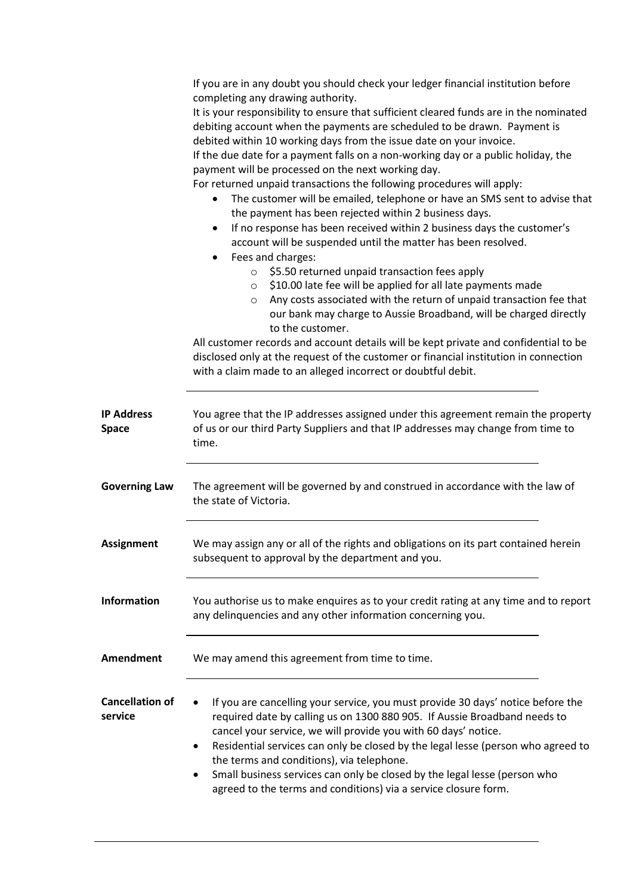|                                   | If you are in any doubt you should check your ledger financial institution before<br>completing any drawing authority.<br>It is your responsibility to ensure that sufficient cleared funds are in the nominated<br>debiting account when the payments are scheduled to be drawn. Payment is<br>debited within 10 working days from the issue date on your invoice.<br>If the due date for a payment falls on a non-working day or a public holiday, the<br>payment will be processed on the next working day.<br>For returned unpaid transactions the following procedures will apply:<br>The customer will be emailed, telephone or have an SMS sent to advise that<br>the payment has been rejected within 2 business days.<br>If no response has been received within 2 business days the customer's<br>٠<br>account will be suspended until the matter has been resolved.<br>Fees and charges:<br>٠<br>\$5.50 returned unpaid transaction fees apply<br>$\circ$<br>\$10.00 late fee will be applied for all late payments made<br>$\circ$<br>Any costs associated with the return of unpaid transaction fee that<br>$\circ$<br>our bank may charge to Aussie Broadband, will be charged directly<br>to the customer.<br>All customer records and account details will be kept private and confidential to be<br>disclosed only at the request of the customer or financial institution in connection<br>with a claim made to an alleged incorrect or doubtful debit. |
|-----------------------------------|---------------------------------------------------------------------------------------------------------------------------------------------------------------------------------------------------------------------------------------------------------------------------------------------------------------------------------------------------------------------------------------------------------------------------------------------------------------------------------------------------------------------------------------------------------------------------------------------------------------------------------------------------------------------------------------------------------------------------------------------------------------------------------------------------------------------------------------------------------------------------------------------------------------------------------------------------------------------------------------------------------------------------------------------------------------------------------------------------------------------------------------------------------------------------------------------------------------------------------------------------------------------------------------------------------------------------------------------------------------------------------------------------------------------------------------------------------------------------|
| <b>IP Address</b><br><b>Space</b> | You agree that the IP addresses assigned under this agreement remain the property<br>of us or our third Party Suppliers and that IP addresses may change from time to<br>time.                                                                                                                                                                                                                                                                                                                                                                                                                                                                                                                                                                                                                                                                                                                                                                                                                                                                                                                                                                                                                                                                                                                                                                                                                                                                                            |
| <b>Governing Law</b>              | The agreement will be governed by and construed in accordance with the law of<br>the state of Victoria.                                                                                                                                                                                                                                                                                                                                                                                                                                                                                                                                                                                                                                                                                                                                                                                                                                                                                                                                                                                                                                                                                                                                                                                                                                                                                                                                                                   |
| <b>Assignment</b>                 | We may assign any or all of the rights and obligations on its part contained herein<br>subsequent to approval by the department and you.                                                                                                                                                                                                                                                                                                                                                                                                                                                                                                                                                                                                                                                                                                                                                                                                                                                                                                                                                                                                                                                                                                                                                                                                                                                                                                                                  |
| <b>Information</b>                | You authorise us to make enquires as to your credit rating at any time and to report<br>any delinquencies and any other information concerning you.                                                                                                                                                                                                                                                                                                                                                                                                                                                                                                                                                                                                                                                                                                                                                                                                                                                                                                                                                                                                                                                                                                                                                                                                                                                                                                                       |
| <b>Amendment</b>                  | We may amend this agreement from time to time.                                                                                                                                                                                                                                                                                                                                                                                                                                                                                                                                                                                                                                                                                                                                                                                                                                                                                                                                                                                                                                                                                                                                                                                                                                                                                                                                                                                                                            |
| <b>Cancellation of</b><br>service | If you are cancelling your service, you must provide 30 days' notice before the<br>required date by calling us on 1300 880 905. If Aussie Broadband needs to<br>cancel your service, we will provide you with 60 days' notice.<br>Residential services can only be closed by the legal lesse (person who agreed to<br>٠<br>the terms and conditions), via telephone.<br>Small business services can only be closed by the legal lesse (person who<br>$\bullet$<br>agreed to the terms and conditions) via a service closure form.                                                                                                                                                                                                                                                                                                                                                                                                                                                                                                                                                                                                                                                                                                                                                                                                                                                                                                                                         |